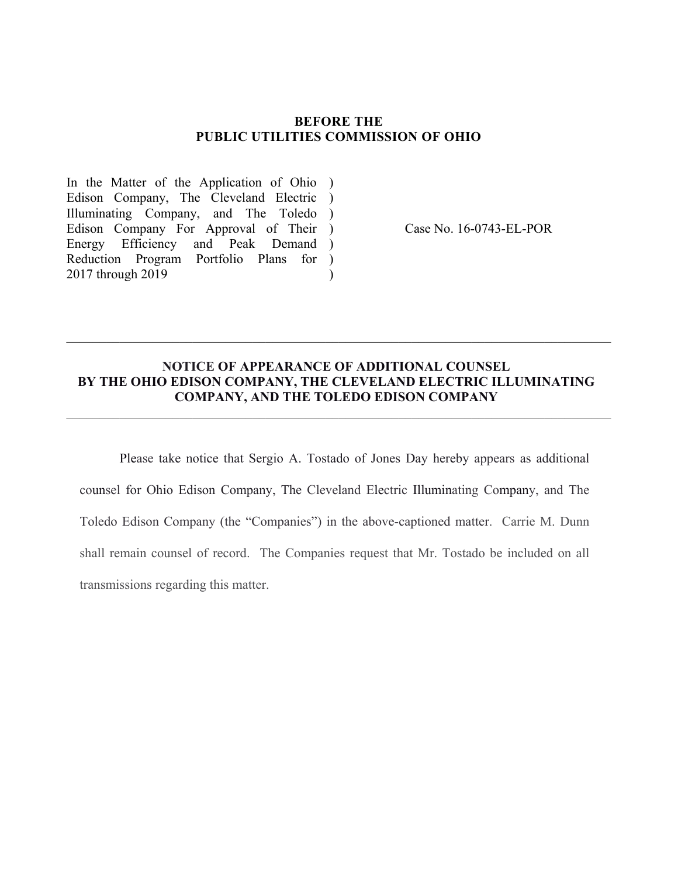#### **BEFORE THE PUBLIC UTILITIES COMMISSION OF OHIO**

In the Matter of the Application of Ohio ) Edison Company, The Cleveland Electric ) Illuminating Company, and The Toledo ) Edison Company For Approval of Their) Energy Efficiency and Peak Demand ) Reduction Program Portfolio Plans for ) 2017 through 2019  $\mathcal{L}$ 

Case No. 16-0743-EL-POR

### **NOTICE OF APPEARANCE OF ADDITIONAL COUNSEL BY THE OHIO EDISON COMPANY, THE CLEVELAND ELECTRIC ILLUMINATING COMPANY, AND THE TOLEDO EDISON COMPANY**

 $\mathcal{L}_\mathcal{L} = \mathcal{L}_\mathcal{L} = \mathcal{L}_\mathcal{L} = \mathcal{L}_\mathcal{L} = \mathcal{L}_\mathcal{L} = \mathcal{L}_\mathcal{L} = \mathcal{L}_\mathcal{L} = \mathcal{L}_\mathcal{L} = \mathcal{L}_\mathcal{L} = \mathcal{L}_\mathcal{L} = \mathcal{L}_\mathcal{L} = \mathcal{L}_\mathcal{L} = \mathcal{L}_\mathcal{L} = \mathcal{L}_\mathcal{L} = \mathcal{L}_\mathcal{L} = \mathcal{L}_\mathcal{L} = \mathcal{L}_\mathcal{L}$ 

 $\mathcal{L}_\mathcal{L} = \mathcal{L}_\mathcal{L} = \mathcal{L}_\mathcal{L} = \mathcal{L}_\mathcal{L} = \mathcal{L}_\mathcal{L} = \mathcal{L}_\mathcal{L} = \mathcal{L}_\mathcal{L} = \mathcal{L}_\mathcal{L} = \mathcal{L}_\mathcal{L} = \mathcal{L}_\mathcal{L} = \mathcal{L}_\mathcal{L} = \mathcal{L}_\mathcal{L} = \mathcal{L}_\mathcal{L} = \mathcal{L}_\mathcal{L} = \mathcal{L}_\mathcal{L} = \mathcal{L}_\mathcal{L} = \mathcal{L}_\mathcal{L}$ 

Please take notice that Sergio A. Tostado of Jones Day hereby appears as additional counsel for Ohio Edison Company, The Cleveland Electric Illuminating Company, and The Toledo Edison Company (the "Companies") in the above-captioned matter. Carrie M. Dunn shall remain counsel of record. The Companies request that Mr. Tostado be included on all transmissions regarding this matter.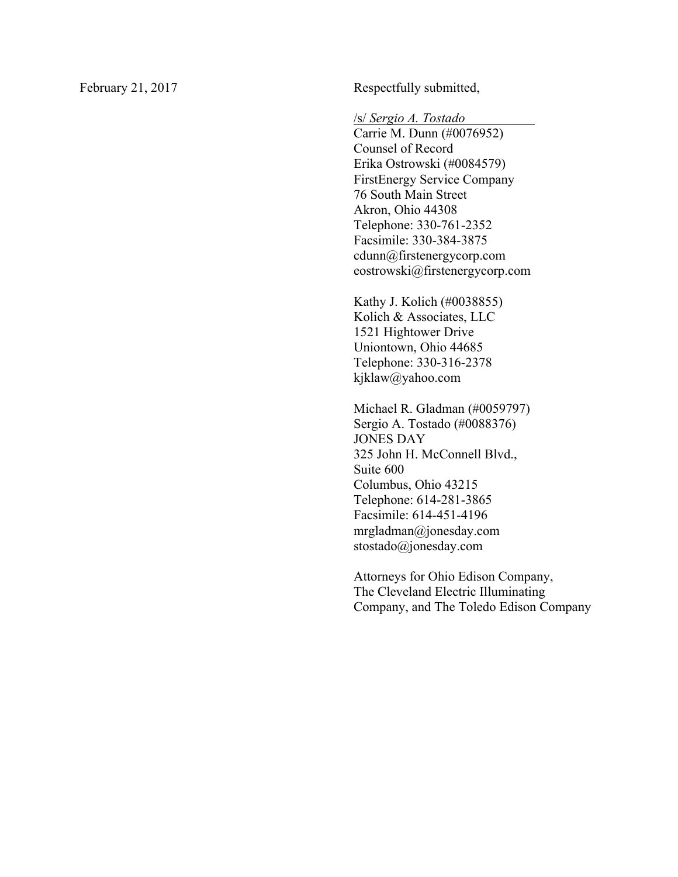February 21, 2017 Respectfully submitted,

/s/ *Sergio A. Tostado* .

Carrie M. Dunn (#0076952) Counsel of Record Erika Ostrowski (#0084579) FirstEnergy Service Company 76 South Main Street Akron, Ohio 44308 Telephone: 330-761-2352 Facsimile: 330-384-3875 cdunn@firstenergycorp.com eostrowski@firstenergycorp.com

Kathy J. Kolich (#0038855) Kolich & Associates, LLC 1521 Hightower Drive Uniontown, Ohio 44685 Telephone: 330-316-2378 kjklaw@yahoo.com

Michael R. Gladman (#0059797) Sergio A. Tostado (#0088376) JONES DAY 325 John H. McConnell Blvd., Suite 600 Columbus, Ohio 43215 Telephone: 614-281-3865 Facsimile: 614-451-4196 mrgladman@jonesday.com stostado@jonesday.com

Attorneys for Ohio Edison Company, The Cleveland Electric Illuminating Company, and The Toledo Edison Company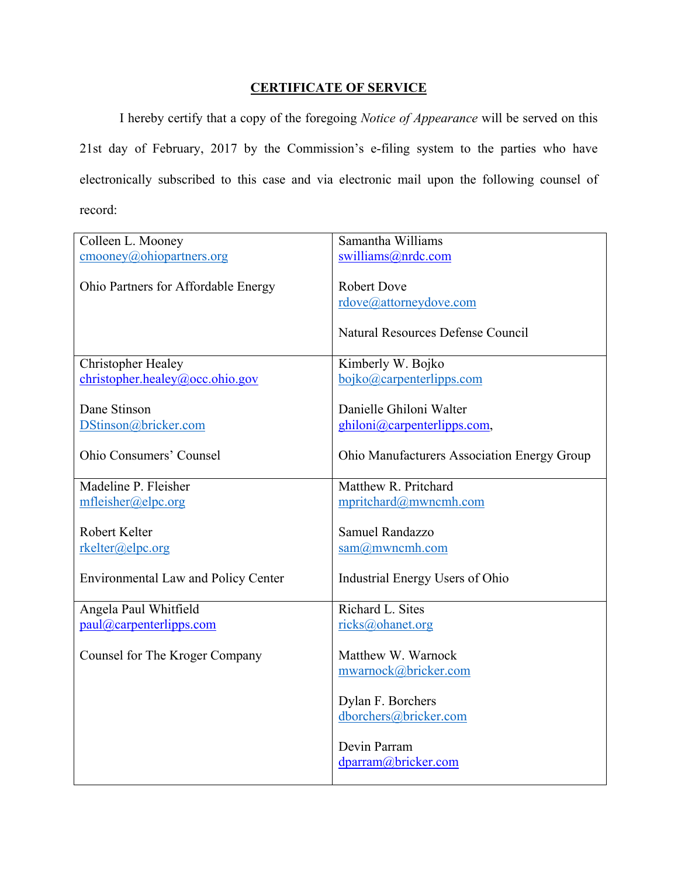## **CERTIFICATE OF SERVICE**

I hereby certify that a copy of the foregoing *Notice of Appearance* will be served on this 21st day of February, 2017 by the Commission's e-filing system to the parties who have electronically subscribed to this case and via electronic mail upon the following counsel of record:

| Colleen L. Mooney                                | Samantha Williams                           |
|--------------------------------------------------|---------------------------------------------|
| $\underline{\text{cmooney}(a)}$ ohiopartners.org | swilliams@nrdc.com                          |
|                                                  | <b>Robert Dove</b>                          |
| Ohio Partners for Affordable Energy              |                                             |
|                                                  | rdove@attorneydove.com                      |
|                                                  | Natural Resources Defense Council           |
| <b>Christopher Healey</b>                        | Kimberly W. Bojko                           |
| christopher.healey@occ.ohio.gov                  | bojko@carpenterlipps.com                    |
|                                                  |                                             |
| Dane Stinson                                     | Danielle Ghiloni Walter                     |
| DStinson@bricker.com                             | ghiloni@carpenterlipps.com,                 |
|                                                  |                                             |
| <b>Ohio Consumers' Counsel</b>                   | Ohio Manufacturers Association Energy Group |
|                                                  |                                             |
| Madeline P. Fleisher                             | Matthew R. Pritchard                        |
| mfleisher@elpc.org                               | mpritchard@mwncmh.com                       |
| Robert Kelter                                    | Samuel Randazzo                             |
| rkelter@elpc.org                                 | $sam@m$ wncmh.com                           |
|                                                  |                                             |
| <b>Environmental Law and Policy Center</b>       | Industrial Energy Users of Ohio             |
|                                                  |                                             |
| Angela Paul Whitfield                            | Richard L. Sites                            |
| paul@carpenterlipps.com                          | ricks@ohanet.org                            |
|                                                  |                                             |
| Counsel for The Kroger Company                   | Matthew W. Warnock                          |
|                                                  | mwarnock@bricker.com                        |
|                                                  |                                             |
|                                                  | Dylan F. Borchers                           |
|                                                  | dborchers@bricker.com                       |
|                                                  |                                             |
|                                                  | Devin Parram                                |
|                                                  | dparram@bricker.com                         |
|                                                  |                                             |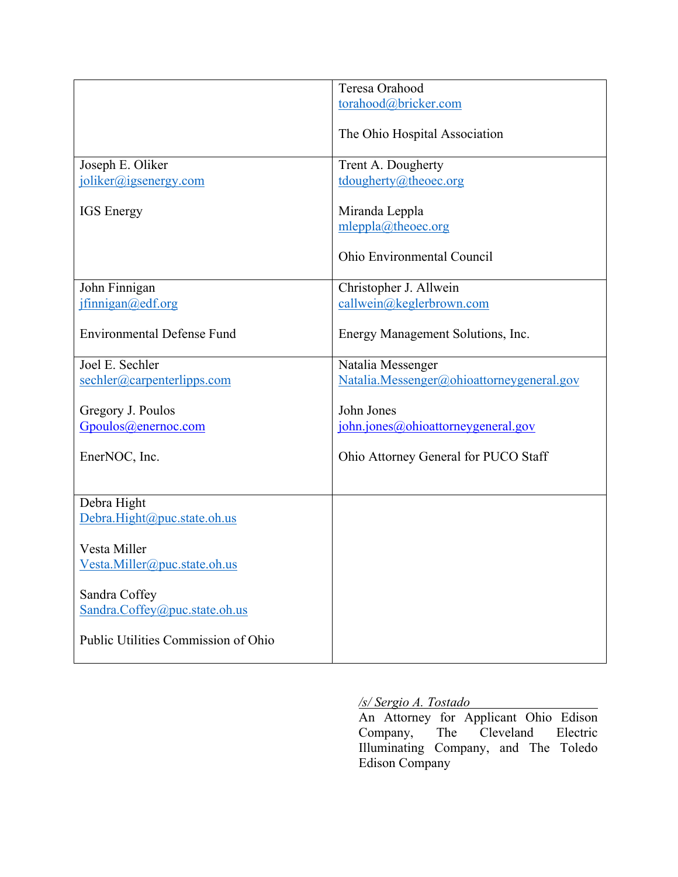|                                     | Teresa Orahood                            |
|-------------------------------------|-------------------------------------------|
|                                     | torahood@bricker.com                      |
|                                     |                                           |
|                                     | The Ohio Hospital Association             |
|                                     |                                           |
| Joseph E. Oliker                    | Trent A. Dougherty                        |
|                                     |                                           |
| joliker@jgsenergy.com               | tdougherty@theoec.org                     |
|                                     |                                           |
| <b>IGS</b> Energy                   | Miranda Leppla                            |
|                                     | mleppla@theoec.org                        |
|                                     |                                           |
|                                     | Ohio Environmental Council                |
|                                     |                                           |
| John Finnigan                       | Christopher J. Allwein                    |
| jfinnigan@edf.org                   | callwein@keglerbrown.com                  |
|                                     |                                           |
| <b>Environmental Defense Fund</b>   | Energy Management Solutions, Inc.         |
|                                     |                                           |
| Joel E. Sechler                     | Natalia Messenger                         |
|                                     |                                           |
| sechler@carpenterlipps.com          | Natalia.Messenger@ohioattorneygeneral.gov |
|                                     | John Jones                                |
| Gregory J. Poulos                   |                                           |
| Gpoulos@enernoc.com                 | john.jones@ohioattorneygeneral.gov        |
|                                     |                                           |
| EnerNOC, Inc.                       | Ohio Attorney General for PUCO Staff      |
|                                     |                                           |
|                                     |                                           |
| Debra Hight                         |                                           |
| Debra.Hight@puc.state.oh.us         |                                           |
|                                     |                                           |
| Vesta Miller                        |                                           |
| Vesta.Miller@puc.state.oh.us        |                                           |
|                                     |                                           |
| Sandra Coffey                       |                                           |
|                                     |                                           |
| Sandra.Coffey@puc.state.oh.us       |                                           |
|                                     |                                           |
| Public Utilities Commission of Ohio |                                           |
|                                     |                                           |

### */s/ Sergio A. Tostado*

An Attorney for Applicant Ohio Edison Company, The Cleveland Electric Illuminating Company, and The Toledo Edison Company